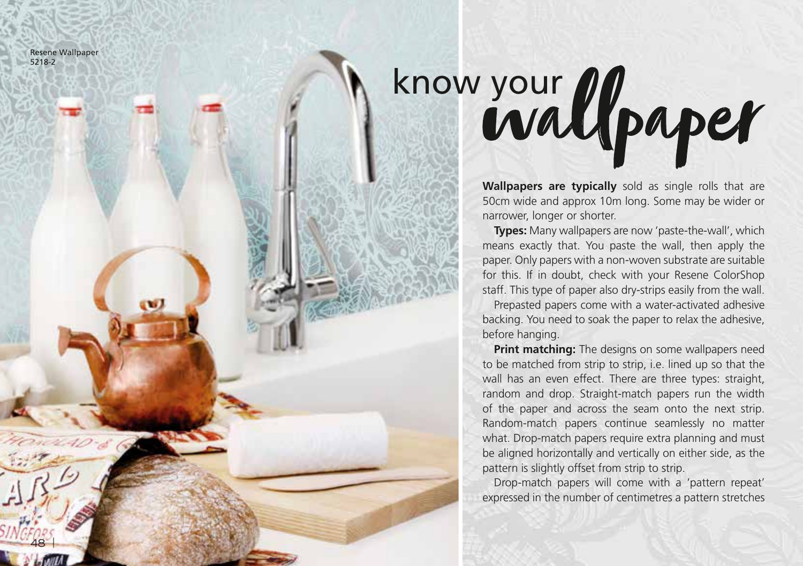Resene Wallpaper 5218-2

48 |

## know your Upaper

**Wallpapers are typically** sold as single rolls that are 50cm wide and approx 10m long. Some may be wider or narrower, longer or shorter.

**Types:** Many wallpapers are now 'paste-the-wall', which means exactly that. You paste the wall, then apply the paper. Only papers with a non-woven substrate are suitable for this. If in doubt, check with your Resene ColorShop staff. This type of paper also dry-strips easily from the wall.

Prepasted papers come with a water-activated adhesive backing. You need to soak the paper to relax the adhesive, before hanging.

**Print matching:** The designs on some wallpapers need to be matched from strip to strip, i.e. lined up so that the wall has an even effect. There are three types: straight, random and drop. Straight-match papers run the width of the paper and across the seam onto the next strip. Random-match papers continue seamlessly no matter what. Drop-match papers require extra planning and must be aligned horizontally and vertically on either side, as the pattern is slightly offset from strip to strip.

Drop-match papers will come with a 'pattern repeat' expressed in the number of centimetres a pattern stretches